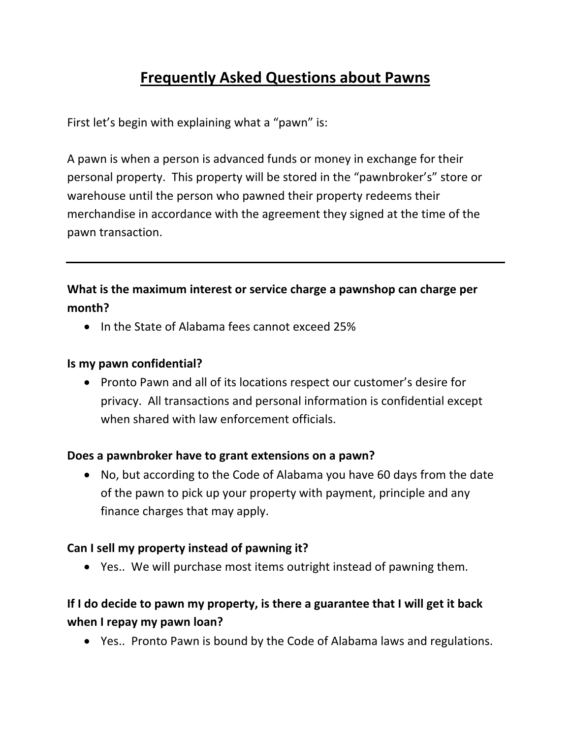# **Frequently Asked Questions about Pawns**

First let's begin with explaining what a "pawn" is:

A pawn is when a person is advanced funds or money in exchange for their personal property. This property will be stored in the "pawnbroker's" store or warehouse until the person who pawned their property redeems their merchandise in accordance with the agreement they signed at the time of the pawn transaction.

## **What is the maximum interest or service charge a pawnshop can charge per month?**

• In the State of Alabama fees cannot exceed 25%

#### **Is my pawn confidential?**

• Pronto Pawn and all of its locations respect our customer's desire for privacy. All transactions and personal information is confidential except when shared with law enforcement officials.

#### **Does a pawnbroker have to grant extensions on a pawn?**

• No, but according to the Code of Alabama you have 60 days from the date of the pawn to pick up your property with payment, principle and any finance charges that may apply.

#### **Can I sell my property instead of pawning it?**

• Yes.. We will purchase most items outright instead of pawning them.

# **If I do decide to pawn my property, is there a guarantee that I will get it back when I repay my pawn loan?**

• Yes.. Pronto Pawn is bound by the Code of Alabama laws and regulations.